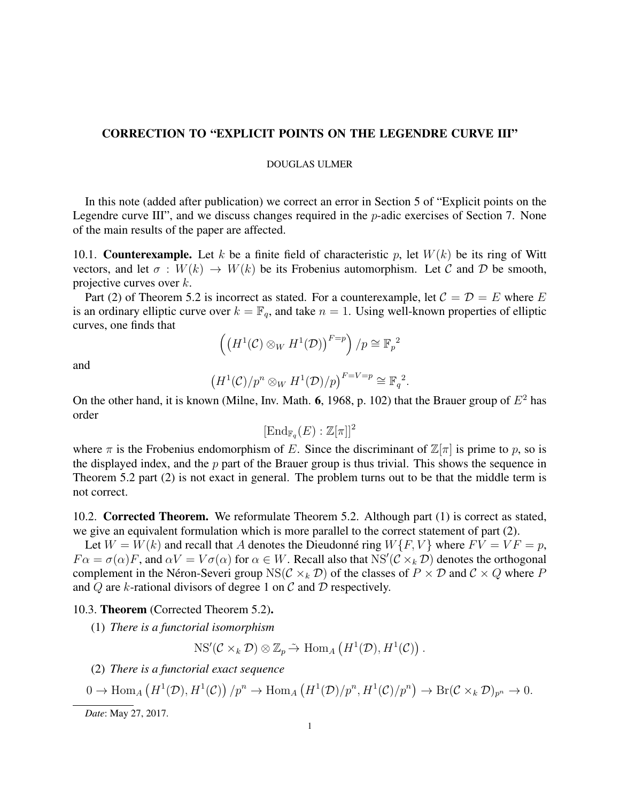# CORRECTION TO "EXPLICIT POINTS ON THE LEGENDRE CURVE III"

## DOUGLAS ULMER

In this note (added after publication) we correct an error in Section 5 of "Explicit points on the Legendre curve III", and we discuss changes required in the  $p$ -adic exercises of Section 7. None of the main results of the paper are affected.

10.1. **Counterexample.** Let k be a finite field of characteristic p, let  $W(k)$  be its ring of Witt vectors, and let  $\sigma: W(k) \to W(k)$  be its Frobenius automorphism. Let C and D be smooth, projective curves over  $k$ .

Part (2) of Theorem 5.2 is incorrect as stated. For a counterexample, let  $C = D = E$  where E is an ordinary elliptic curve over  $k = \mathbb{F}_q$ , and take  $n = 1$ . Using well-known properties of elliptic curves, one finds that

$$
\left(\left(H^1(\mathcal{C}) \otimes_W H^1(\mathcal{D})\right)^{F=p}\right)/p \cong \mathbb{F}_p{}^2
$$

and

$$
(H^1(\mathcal{C})/p^n \otimes_W H^1(\mathcal{D})/p)^{F=V=p} \cong \mathbb{F}_q^2.
$$

On the other hand, it is known (Milne, Inv. Math. 6, 1968, p. 102) that the Brauer group of  $E^2$  has order

 $[\mathrm{End}_{\Bbb{F}_q}(E):\Bbb{Z}[\pi]]^2$ 

where  $\pi$  is the Frobenius endomorphism of E. Since the discriminant of  $\mathbb{Z}[\pi]$  is prime to p, so is the displayed index, and the  $p$  part of the Brauer group is thus trivial. This shows the sequence in Theorem 5.2 part (2) is not exact in general. The problem turns out to be that the middle term is not correct.

10.2. Corrected Theorem. We reformulate Theorem 5.2. Although part (1) is correct as stated, we give an equivalent formulation which is more parallel to the correct statement of part (2).

Let  $W = W(k)$  and recall that A denotes the Dieudonné ring  $W\{F, V\}$  where  $FV = VF = p$ ,  $F\alpha = \sigma(\alpha)F$ , and  $\alpha V = V\sigma(\alpha)$  for  $\alpha \in W$ . Recall also that  $NS'(\mathcal{C} \times_k \mathcal{D})$  denotes the orthogonal complement in the Néron-Severi group NS( $C \times_k D$ ) of the classes of  $P \times D$  and  $C \times Q$  where P and  $Q$  are k-rational divisors of degree 1 on  $C$  and  $D$  respectively.

## 10.3. Theorem (Corrected Theorem 5.2).

(1) *There is a functorial isomorphism*

 $NS'(\mathcal{C} \times_k \mathcal{D}) \otimes \mathbb{Z}_p \tilde{\to} \text{Hom}_A\left(H^1(\mathcal{D}), H^1(\mathcal{C})\right).$ 

(2) *There is a functorial exact sequence*

$$
0 \to \text{Hom}_{A}\left(H^{1}(\mathcal{D}), H^{1}(\mathcal{C})\right)/p^{n} \to \text{Hom}_{A}\left(H^{1}(\mathcal{D})/p^{n}, H^{1}(\mathcal{C})/p^{n}\right) \to \text{Br}(\mathcal{C} \times_{k} \mathcal{D})_{p^{n}} \to 0.
$$

*Date*: May 27, 2017.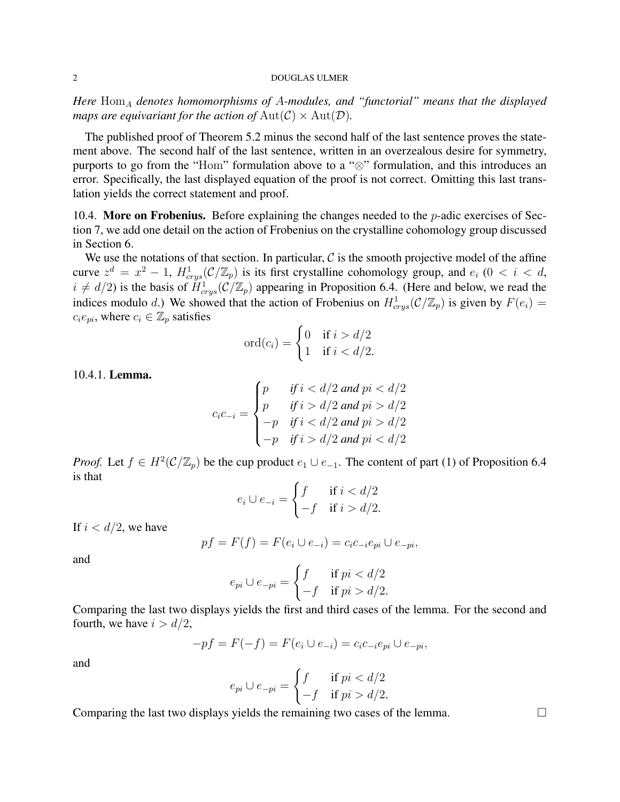#### 2 DOUGLAS ULMER

*Here*  $Hom_A$  *denotes homomorphisms of A-modules, and "functorial" means that the displayed maps are equivariant for the action of*  $Aut(C) \times Aut(D)$ *.* 

The published proof of Theorem 5.2 minus the second half of the last sentence proves the statement above. The second half of the last sentence, written in an overzealous desire for symmetry, purports to go from the "Hom" formulation above to a "⊗" formulation, and this introduces an error. Specifically, the last displayed equation of the proof is not correct. Omitting this last translation yields the correct statement and proof.

10.4. More on Frobenius. Before explaining the changes needed to the  $p$ -adic exercises of Section 7, we add one detail on the action of Frobenius on the crystalline cohomology group discussed in Section 6.

We use the notations of that section. In particular,  $\mathcal C$  is the smooth projective model of the affine curve  $z^d = x^2 - 1$ ,  $H^1_{crys}(\mathcal{C}/\mathbb{Z}_p)$  is its first crystalline cohomology group, and  $e_i$  ( $0 < i < d$ ,  $i \neq d/2$ ) is the basis of  $\tilde{H}^1_{crys}(\mathcal{C}/\mathbb{Z}_p)$  appearing in Proposition 6.4. (Here and below, we read the indices modulo d.) We showed that the action of Frobenius on  $H^1_{crys}(\mathcal{C}/\mathbb{Z}_p)$  is given by  $F(e_i) =$  $c_i e_{pi}$ , where  $c_i \in \mathbb{Z}_p$  satisfies

$$
\operatorname{ord}(c_i) = \begin{cases} 0 & \text{if } i > d/2 \\ 1 & \text{if } i < d/2. \end{cases}
$$

10.4.1. Lemma.

$$
c_i c_{-i} = \begin{cases} p & \text{if } i < d/2 \text{ and } pi < d/2 \\ p & \text{if } i > d/2 \text{ and } pi > d/2 \\ -p & \text{if } i < d/2 \text{ and } pi > d/2 \\ -p & \text{if } i > d/2 \text{ and } pi < d/2 \end{cases}
$$

*Proof.* Let  $f \in H^2(\mathcal{C}/\mathbb{Z}_p)$  be the cup product  $e_1 \cup e_{-1}$ . The content of part (1) of Proposition 6.4 is that

$$
e_i \cup e_{-i} = \begin{cases} f & \text{if } i < d/2 \\ -f & \text{if } i > d/2. \end{cases}
$$

If  $i < d/2$ , we have

$$
pf = F(f) = F(e_i \cup e_{-i}) = c_i c_{-i} e_{pi} \cup e_{-pi},
$$

and

$$
e_{pi} \cup e_{-pi} = \begin{cases} f & \text{if } pi < d/2 \\ -f & \text{if } pi > d/2. \end{cases}
$$

Comparing the last two displays yields the first and third cases of the lemma. For the second and fourth, we have  $i > d/2$ ,

$$
-pf = F(-f) = F(e_i \cup e_{-i}) = c_i c_{-i} e_{pi} \cup e_{-pi},
$$

and

$$
e_{pi} \cup e_{-pi} = \begin{cases} f & \text{if } pi < d/2 \\ -f & \text{if } pi > d/2. \end{cases}
$$

Comparing the last two displays yields the remaining two cases of the lemma.  $\Box$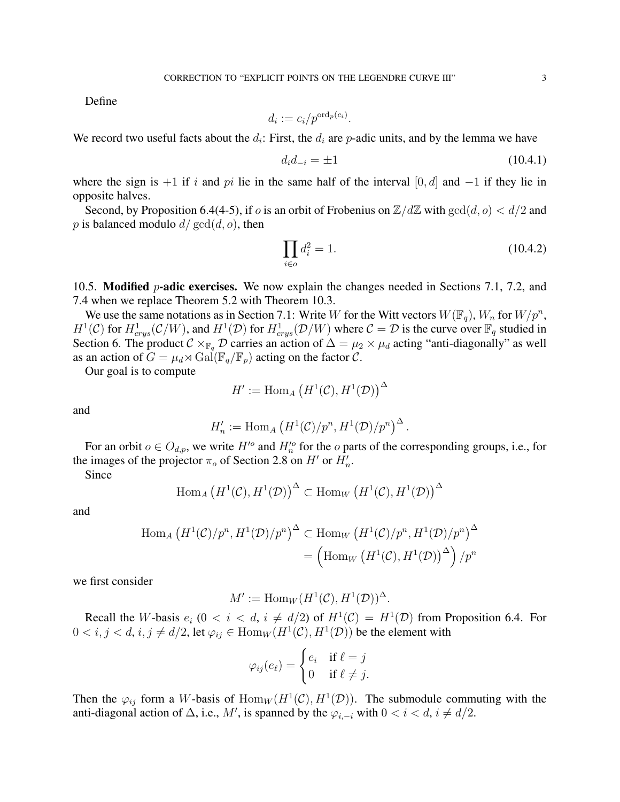Define

$$
d_i := c_i / p^{\text{ord}_p(c_i)}.
$$

We record two useful facts about the  $d_i$ : First, the  $d_i$  are p-adic units, and by the lemma we have

$$
d_i d_{-i} = \pm 1 \tag{10.4.1}
$$

where the sign is  $+1$  if i and pi lie in the same half of the interval [0, d] and  $-1$  if they lie in opposite halves.

Second, by Proposition 6.4(4-5), if o is an orbit of Frobenius on  $\mathbb{Z}/d\mathbb{Z}$  with  $gcd(d, o) < d/2$  and p is balanced modulo  $d/\gcd(d, o)$ , then

$$
\prod_{i \in o} d_i^2 = 1. \tag{10.4.2}
$$

10.5. **Modified** *p*-adic exercises. We now explain the changes needed in Sections 7.1, 7.2, and 7.4 when we replace Theorem 5.2 with Theorem 10.3.

We use the same notations as in Section 7.1: Write W for the Witt vectors  $W(\mathbb{F}_q)$ ,  $W_n$  for  $W/p^n$ ,  $H^1(\mathcal{C})$  for  $H^1_{crys}(\mathcal{C}/W)$ , and  $H^1(\mathcal{D})$  for  $H^1_{crys}(\mathcal{D}/W)$  where  $\mathcal{C} = \mathcal{D}$  is the curve over  $\mathbb{F}_q$  studied in Section 6. The product  $C \times_{\mathbb{F}_q} \mathcal{D}$  carries an action of  $\Delta = \mu_2 \times \mu_d$  acting "anti-diagonally" as well as an action of  $G = \mu_d \rtimes \text{Gal}(\mathbb{F}_q/\mathbb{F}_p)$  acting on the factor  $\mathcal{C}$ .

Our goal is to compute

$$
H':=\mathrm{Hom}_A\left(H^1(\mathcal{C}),H^1(\mathcal{D})\right)^\Delta
$$

and

$$
H'_n := \mathrm{Hom}_A \left( H^1(\mathcal{C})/p^n, H^1(\mathcal{D})/p^n \right)^{\Delta}.
$$

For an orbit  $o \in O_{d,p}$ , we write  $H'{}^o$  and  $H'_n{}^o$  for the  $o$  parts of the corresponding groups, i.e., for the images of the projector  $\pi_o$  of Section 2.8 on H' or  $H'_n$ .

Since

$$
\text{Hom}_A\left(H^1(\mathcal{C}), H^1(\mathcal{D})\right)^{\Delta} \subset \text{Hom}_W\left(H^1(\mathcal{C}), H^1(\mathcal{D})\right)^{\Delta}
$$

and

$$
\text{Hom}_A\left(H^1(\mathcal{C})/p^n, H^1(\mathcal{D})/p^n\right)^\Delta \subset \text{Hom}_W\left(H^1(\mathcal{C})/p^n, H^1(\mathcal{D})/p^n\right)^\Delta
$$

$$
= \left(\text{Hom}_W\left(H^1(\mathcal{C}), H^1(\mathcal{D})\right)^\Delta\right)/p^n
$$

we first consider

$$
M' := \text{Hom}_W(H^1(\mathcal{C}), H^1(\mathcal{D}))^{\Delta}.
$$

Recall the W-basis  $e_i$  ( $0 < i < d$ ,  $i \neq d/2$ ) of  $H^1(\mathcal{C}) = H^1(\mathcal{D})$  from Proposition 6.4. For  $0 < i, j < d, i, j \neq d/2$ , let  $\varphi_{ij} \in \text{Hom}_W(H^1(\mathcal{C}), H^1(\mathcal{D}))$  be the element with

$$
\varphi_{ij}(e_{\ell}) = \begin{cases} e_i & \text{if } \ell = j \\ 0 & \text{if } \ell \neq j. \end{cases}
$$

Then the  $\varphi_{ij}$  form a W-basis of  $\text{Hom}_W(H^1(\mathcal{C}), H^1(\mathcal{D}))$ . The submodule commuting with the anti-diagonal action of  $\Delta$ , i.e., M', is spanned by the  $\varphi_{i,-i}$  with  $0 < i < d$ ,  $i \neq d/2$ .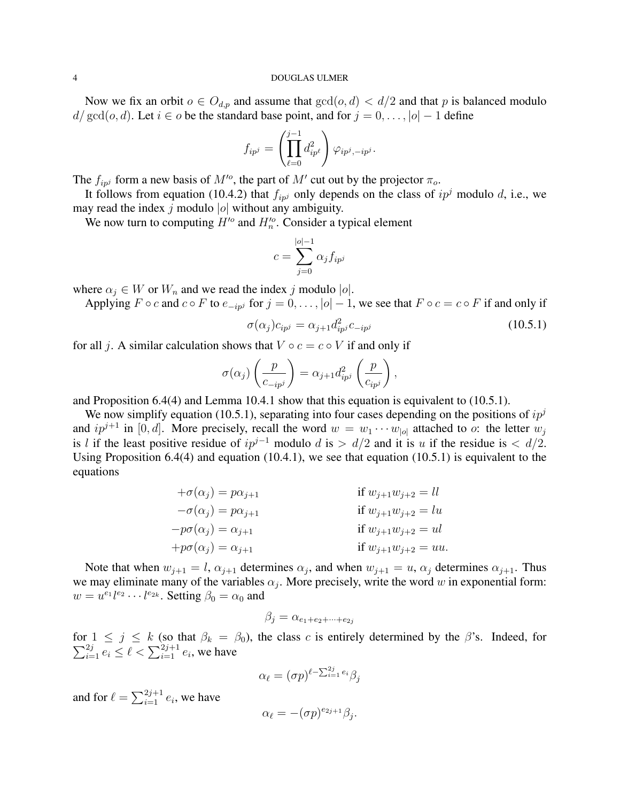#### 4 DOUGLAS ULMER

Now we fix an orbit  $o \in O_{d,p}$  and assume that  $gcd(o, d) < d/2$  and that p is balanced modulo  $d/\gcd(o, d)$ . Let  $i \in o$  be the standard base point, and for  $j = 0, \ldots, |o| - 1$  define

$$
f_{ip^j} = \left(\prod_{\ell=0}^{j-1} d_{ip^\ell}^2\right) \varphi_{ip^j, -ip^j}.
$$

The  $f_{ipj}$  form a new basis of  $M'$ <sup>o</sup>, the part of  $M'$  cut out by the projector  $\pi_o$ .

It follows from equation (10.4.2) that  $f_{ipj}$  only depends on the class of  $ip^j$  modulo d, i.e., we may read the index j modulo  $|o|$  without any ambiguity.

We now turn to computing  $H'$ <sup>o</sup> and  $H'_n$ . Consider a typical element

$$
c = \sum_{j=0}^{|o|-1} \alpha_j f_{ip^j}
$$

where  $\alpha_j \in W$  or  $W_n$  and we read the index j modulo |o|.

Applying  $F \circ c$  and  $c \circ F$  to  $e_{-ipj}$  for  $j = 0, \ldots, |\alpha| - 1$ , we see that  $F \circ c = c \circ F$  if and only if

$$
\sigma(\alpha_j)c_{ip^j} = \alpha_{j+1}d_{ip^j}^2c_{-ip^j}
$$
\n(10.5.1)

for all j. A similar calculation shows that  $V \circ c = c \circ V$  if and only if

$$
\sigma(\alpha_j) \left( \frac{p}{c_{-ip^j}} \right) = \alpha_{j+1} d_{ip^j}^2 \left( \frac{p}{c_{ip^j}} \right),
$$

and Proposition 6.4(4) and Lemma 10.4.1 show that this equation is equivalent to (10.5.1).

We now simplify equation (10.5.1), separating into four cases depending on the positions of  $ip<sup>j</sup>$ and  $ip^{j+1}$  in [0, d]. More precisely, recall the word  $w = w_1 \cdots w_{|0|}$  attached to o: the letter  $w_j$ is l if the least positive residue of  $ip^{j-1}$  modulo d is >  $d/2$  and it is u if the residue is <  $d/2$ . Using Proposition 6.4(4) and equation (10.4.1), we see that equation (10.5.1) is equivalent to the equations

$$
+\sigma(\alpha_j) = p\alpha_{j+1}
$$
  
\n
$$
-\sigma(\alpha_j) = p\alpha_{j+1}
$$
  
\nif  $w_{j+1}w_{j+2} = ll$   
\nif  $w_{j+1}w_{j+2} = lu$   
\nif  $w_{j+1}w_{j+2} = lu$   
\nif  $w_{j+1}w_{j+2} = ul$   
\nif  $w_{j+1}w_{j+2} = ul$   
\nif  $w_{j+1}w_{j+2} = uu$ .

Note that when  $w_{j+1} = l$ ,  $\alpha_{j+1}$  determines  $\alpha_j$ , and when  $w_{j+1} = u$ ,  $\alpha_j$  determines  $\alpha_{j+1}$ . Thus we may eliminate many of the variables  $\alpha_j$ . More precisely, write the word w in exponential form:  $w = u^{e_1}l^{e_2} \cdots l^{e_{2k}}$ . Setting  $\beta_0 = \alpha_0$  and

$$
\beta_j = \alpha_{e_1 + e_2 + \dots + e_{2j}}
$$

for  $\sum$  $\begin{array}{l} \n\text{if } 1 \leq j \leq k \text{ (so that } \beta_k = \beta_0\text{), the class } c \text{ is entirely determined by the } \beta\text{'s. Indeed, for } \\ \n\frac{2j}{i=1} e_i \leq \ell < \sum_{i=1}^{2j+1} e_i\text{, we have} \n\end{array}$ 

$$
\alpha_{\ell} = (\sigma p)^{\ell - \sum_{i=1}^{2j} e_i} \beta_j
$$

and for  $\ell = \sum_{i=1}^{2j+1} e_i$ , we have

$$
\alpha_{\ell} = -(\sigma p)^{e_{2j+1}} \beta_j.
$$